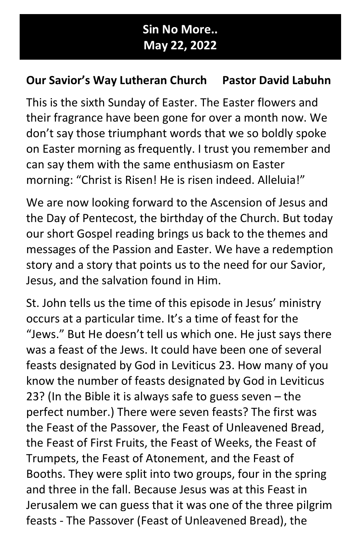## Sin No More.. May 22, 2022

## Our Savior's Way Lutheran Church Pastor David Labuhn

This is the sixth Sunday of Easter. The Easter flowers and their fragrance have been gone for over a month now. We don't say those triumphant words that we so boldly spoke on Easter morning as frequently. I trust you remember and can say them with the same enthusiasm on Easter morning: "Christ is Risen! He is risen indeed. Alleluia!"

We are now looking forward to the Ascension of Jesus and the Day of Pentecost, the birthday of the Church. But today our short Gospel reading brings us back to the themes and messages of the Passion and Easter. We have a redemption story and a story that points us to the need for our Savior, Jesus, and the salvation found in Him.

St. John tells us the time of this episode in Jesus' ministry occurs at a particular time. It's a time of feast for the "Jews." But He doesn't tell us which one. He just says there was a feast of the Jews. It could have been one of several feasts designated by God in Leviticus 23. How many of you know the number of feasts designated by God in Leviticus 23? (In the Bible it is always safe to guess seven – the perfect number.) There were seven feasts? The first was the Feast of the Passover, the Feast of Unleavened Bread, the Feast of First Fruits, the Feast of Weeks, the Feast of Trumpets, the Feast of Atonement, and the Feast of Booths. They were split into two groups, four in the spring and three in the fall. Because Jesus was at this Feast in Jerusalem we can guess that it was one of the three pilgrim feasts - The Passover (Feast of Unleavened Bread), the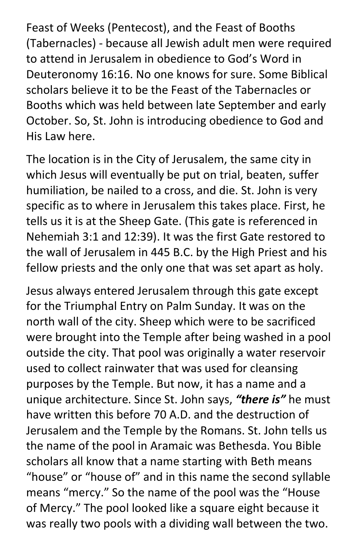Feast of Weeks (Pentecost), and the Feast of Booths (Tabernacles) - because all Jewish adult men were required to attend in Jerusalem in obedience to God's Word in Deuteronomy 16:16. No one knows for sure. Some Biblical scholars believe it to be the Feast of the Tabernacles or Booths which was held between late September and early October. So, St. John is introducing obedience to God and His Law here.

The location is in the City of Jerusalem, the same city in which Jesus will eventually be put on trial, beaten, suffer humiliation, be nailed to a cross, and die. St. John is very specific as to where in Jerusalem this takes place. First, he tells us it is at the Sheep Gate. (This gate is referenced in Nehemiah 3:1 and 12:39). It was the first Gate restored to the wall of Jerusalem in 445 B.C. by the High Priest and his fellow priests and the only one that was set apart as holy.

Jesus always entered Jerusalem through this gate except for the Triumphal Entry on Palm Sunday. It was on the north wall of the city. Sheep which were to be sacrificed were brought into the Temple after being washed in a pool outside the city. That pool was originally a water reservoir used to collect rainwater that was used for cleansing purposes by the Temple. But now, it has a name and a unique architecture. Since St. John says, "there is" he must have written this before 70 A.D. and the destruction of Jerusalem and the Temple by the Romans. St. John tells us the name of the pool in Aramaic was Bethesda. You Bible scholars all know that a name starting with Beth means "house" or "house of" and in this name the second syllable means "mercy." So the name of the pool was the "House of Mercy." The pool looked like a square eight because it was really two pools with a dividing wall between the two.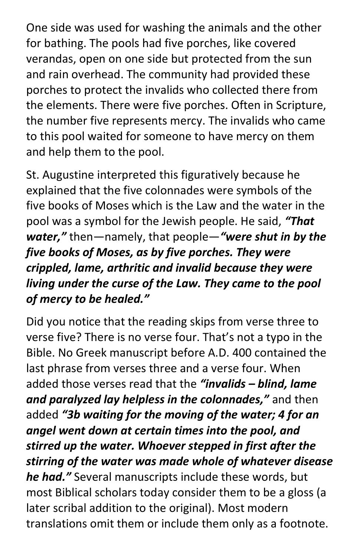One side was used for washing the animals and the other for bathing. The pools had five porches, like covered verandas, open on one side but protected from the sun and rain overhead. The community had provided these porches to protect the invalids who collected there from the elements. There were five porches. Often in Scripture, the number five represents mercy. The invalids who came to this pool waited for someone to have mercy on them and help them to the pool.

St. Augustine interpreted this figuratively because he explained that the five colonnades were symbols of the five books of Moses which is the Law and the water in the pool was a symbol for the Jewish people. He said, "That water," then-namely, that people-"were shut in by the five books of Moses, as by five porches. They were crippled, lame, arthritic and invalid because they were living under the curse of the Law. They came to the pool of mercy to be healed."

Did you notice that the reading skips from verse three to verse five? There is no verse four. That's not a typo in the Bible. No Greek manuscript before A.D. 400 contained the last phrase from verses three and a verse four. When added those verses read that the "invalids - blind, lame and paralyzed lay helpless in the colonnades," and then added "3b waiting for the moving of the water; 4 for an angel went down at certain times into the pool, and stirred up the water. Whoever stepped in first after the stirring of the water was made whole of whatever disease he had." Several manuscripts include these words, but most Biblical scholars today consider them to be a gloss (a later scribal addition to the original). Most modern translations omit them or include them only as a footnote.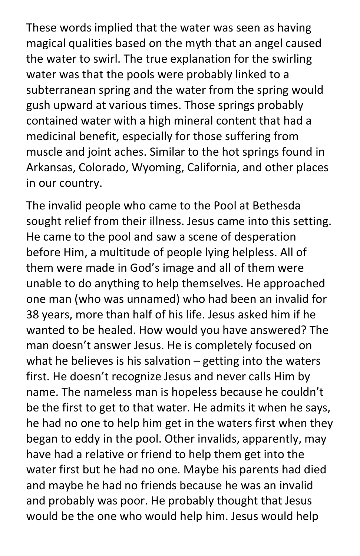These words implied that the water was seen as having magical qualities based on the myth that an angel caused the water to swirl. The true explanation for the swirling water was that the pools were probably linked to a subterranean spring and the water from the spring would gush upward at various times. Those springs probably contained water with a high mineral content that had a medicinal benefit, especially for those suffering from muscle and joint aches. Similar to the hot springs found in Arkansas, Colorado, Wyoming, California, and other places in our country.

The invalid people who came to the Pool at Bethesda sought relief from their illness. Jesus came into this setting. He came to the pool and saw a scene of desperation before Him, a multitude of people lying helpless. All of them were made in God's image and all of them were unable to do anything to help themselves. He approached one man (who was unnamed) who had been an invalid for 38 years, more than half of his life. Jesus asked him if he wanted to be healed. How would you have answered? The man doesn't answer Jesus. He is completely focused on what he believes is his salvation  $-$  getting into the waters first. He doesn't recognize Jesus and never calls Him by name. The nameless man is hopeless because he couldn't be the first to get to that water. He admits it when he says, he had no one to help him get in the waters first when they began to eddy in the pool. Other invalids, apparently, may have had a relative or friend to help them get into the water first but he had no one. Maybe his parents had died and maybe he had no friends because he was an invalid and probably was poor. He probably thought that Jesus would be the one who would help him. Jesus would help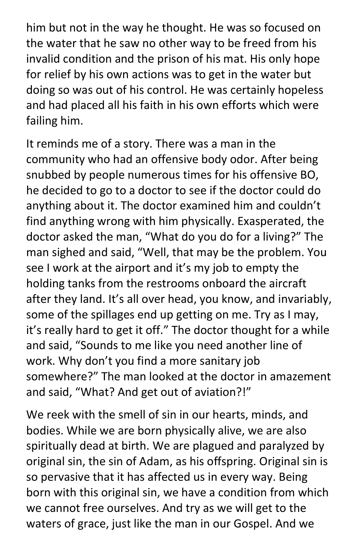him but not in the way he thought. He was so focused on the water that he saw no other way to be freed from his invalid condition and the prison of his mat. His only hope for relief by his own actions was to get in the water but doing so was out of his control. He was certainly hopeless and had placed all his faith in his own efforts which were failing him.

It reminds me of a story. There was a man in the community who had an offensive body odor. After being snubbed by people numerous times for his offensive BO, he decided to go to a doctor to see if the doctor could do anything about it. The doctor examined him and couldn't find anything wrong with him physically. Exasperated, the doctor asked the man, "What do you do for a living?" The man sighed and said, "Well, that may be the problem. You see I work at the airport and it's my job to empty the holding tanks from the restrooms onboard the aircraft after they land. It's all over head, you know, and invariably, some of the spillages end up getting on me. Try as I may, it's really hard to get it off." The doctor thought for a while and said, "Sounds to me like you need another line of work. Why don't you find a more sanitary job somewhere?" The man looked at the doctor in amazement and said, "What? And get out of aviation?!"

We reek with the smell of sin in our hearts, minds, and bodies. While we are born physically alive, we are also spiritually dead at birth. We are plagued and paralyzed by original sin, the sin of Adam, as his offspring. Original sin is so pervasive that it has affected us in every way. Being born with this original sin, we have a condition from which we cannot free ourselves. And try as we will get to the waters of grace, just like the man in our Gospel. And we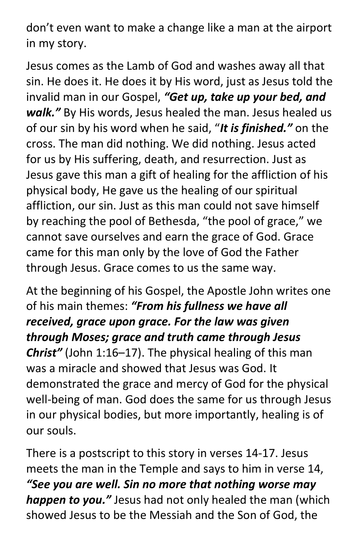don't even want to make a change like a man at the airport in my story.

Jesus comes as the Lamb of God and washes away all that sin. He does it. He does it by His word, just as Jesus told the invalid man in our Gospel, "Get up, take up your bed, and walk." By His words, Jesus healed the man. Jesus healed us of our sin by his word when he said, "It is finished." on the cross. The man did nothing. We did nothing. Jesus acted for us by His suffering, death, and resurrection. Just as Jesus gave this man a gift of healing for the affliction of his physical body, He gave us the healing of our spiritual affliction, our sin. Just as this man could not save himself by reaching the pool of Bethesda, "the pool of grace," we cannot save ourselves and earn the grace of God. Grace came for this man only by the love of God the Father through Jesus. Grace comes to us the same way.

At the beginning of his Gospel, the Apostle John writes one of his main themes: "From his fullness we have all received, grace upon grace. For the law was given through Moses; grace and truth came through Jesus Christ" (John 1:16-17). The physical healing of this man was a miracle and showed that Jesus was God. It demonstrated the grace and mercy of God for the physical well-being of man. God does the same for us through Jesus in our physical bodies, but more importantly, healing is of our souls.

There is a postscript to this story in verses 14-17. Jesus meets the man in the Temple and says to him in verse 14, "See you are well. Sin no more that nothing worse may happen to you." Jesus had not only healed the man (which showed Jesus to be the Messiah and the Son of God, the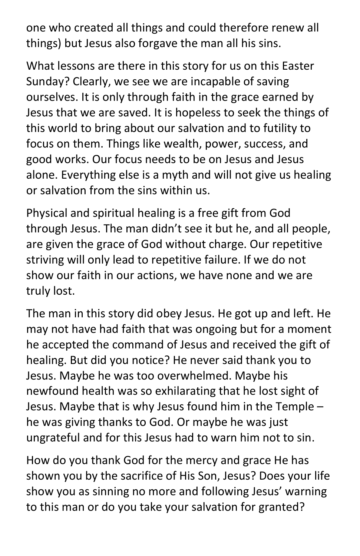one who created all things and could therefore renew all things) but Jesus also forgave the man all his sins.

What lessons are there in this story for us on this Easter Sunday? Clearly, we see we are incapable of saving ourselves. It is only through faith in the grace earned by Jesus that we are saved. It is hopeless to seek the things of this world to bring about our salvation and to futility to focus on them. Things like wealth, power, success, and good works. Our focus needs to be on Jesus and Jesus alone. Everything else is a myth and will not give us healing or salvation from the sins within us.

Physical and spiritual healing is a free gift from God through Jesus. The man didn't see it but he, and all people, are given the grace of God without charge. Our repetitive striving will only lead to repetitive failure. If we do not show our faith in our actions, we have none and we are truly lost.

The man in this story did obey Jesus. He got up and left. He may not have had faith that was ongoing but for a moment he accepted the command of Jesus and received the gift of healing. But did you notice? He never said thank you to Jesus. Maybe he was too overwhelmed. Maybe his newfound health was so exhilarating that he lost sight of Jesus. Maybe that is why Jesus found him in the Temple – he was giving thanks to God. Or maybe he was just ungrateful and for this Jesus had to warn him not to sin.

How do you thank God for the mercy and grace He has shown you by the sacrifice of His Son, Jesus? Does your life show you as sinning no more and following Jesus' warning to this man or do you take your salvation for granted?